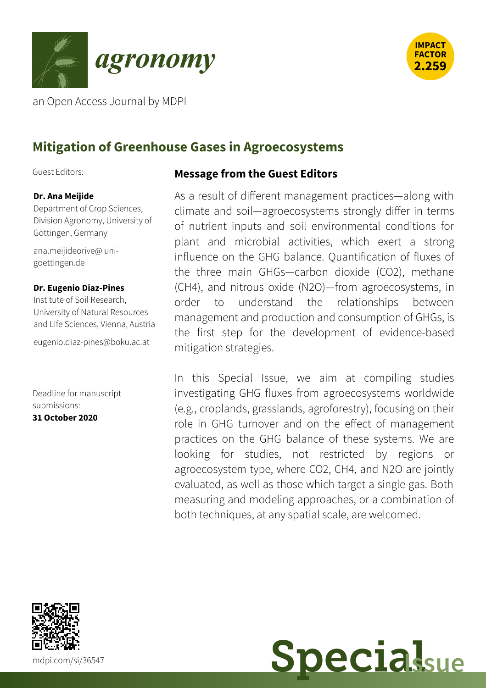



an Open Access Journal by MDPI

# **Mitigation of Greenhouse Gases in Agroecosystems**

Guest Editors:

#### **Dr. Ana Meijide**

Department of Crop Sciences, Division Agronomy, University of Göttingen, Germany

[ana.meijideorive@](mailto:ana.meijideorive@uni-goettingen.de) unigoettingen.de

#### **Dr. Eugenio Diaz-Pines**

Institute of Soil Research, University of Natural Resources and Life Sciences, Vienna, Austria

[eugenio.diaz-pines@boku.ac.at](mailto:%2565%2575%2567%2565%256e%2569%256f.%2564%2569%2561%257a-%2570%2569%256e%2565%2573@%2562%256f%256b%2575.%2561%2563.%2561%2574)

Deadline for manuscript submissions: **31 October 2020**

#### **Message from the Guest Editors**

As a result of different management practices—along with climate and soil—agroecosystems strongly differ in terms of nutrient inputs and soil environmental conditions for plant and microbial activities, which exert a strong influence on the GHG balance. Quantification of fluxes of the three main GHGs—carbon dioxide (CO2), methane (CH4), and nitrous oxide (N2O)—from agroecosystems, in order to understand the relationships between management and production and consumption of GHGs, is the first step for the development of evidence-based mitigation strategies.

In this Special Issue, we aim at compiling studies investigating GHG fluxes from agroecosystems worldwide (e.g., croplands, grasslands, agroforestry), focusing on their role in GHG turnover and on the effect of management practices on the GHG balance of these systems. We are looking for studies, not restricted by regions or agroecosystem type, where CO2, CH4, and N2O are jointly evaluated, as well as those which target a single gas. Both measuring and modeling approaches, or a combination of both techniques, at any spatial scale, are welcomed.



**Special**sue